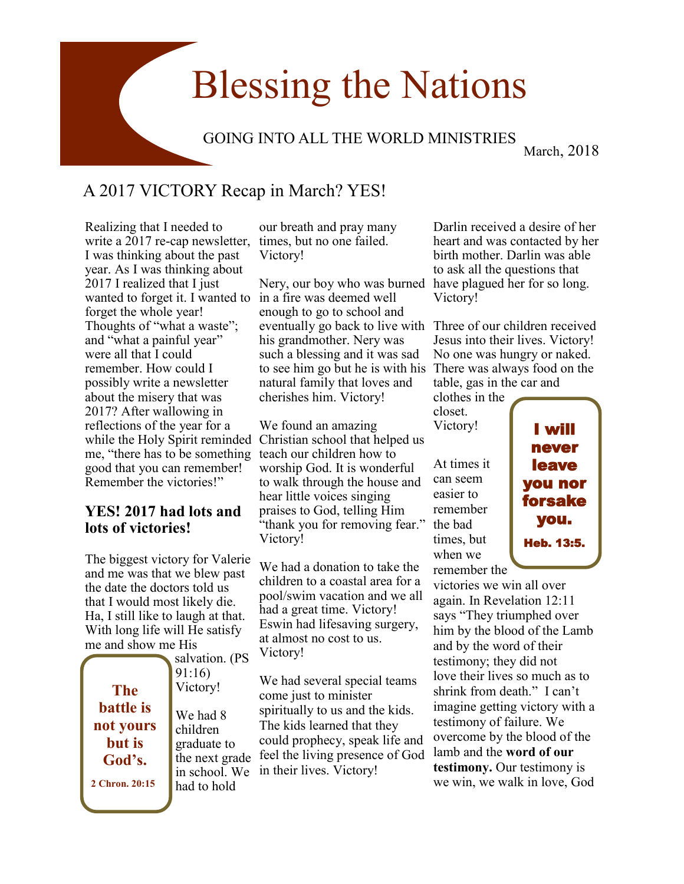# Blessing the Nations

### GOING INTO ALL THE WORLD MINISTRIES

March, 2018

## A 2017 VICTORY Recap in March? YES!

Realizing that I needed to write a 2017 re-cap newsletter, times, but no one failed. I was thinking about the past year. As I was thinking about 2017 I realized that I just wanted to forget it. I wanted to in a fire was deemed well forget the whole year! Thoughts of "what a waste"; and "what a painful year" were all that I could remember. How could I possibly write a newsletter about the misery that was 2017? After wallowing in reflections of the year for a me, "there has to be something teach our children how to good that you can remember! Remember the victories!"

#### **YES! 2017 had lots and lots of victories!**

The biggest victory for Valerie and me was that we blew past the date the doctors told us that I would most likely die. Ha, I still like to laugh at that. With long life will He satisfy me and show me His n. (PS

|                  | salvation. (I               |
|------------------|-----------------------------|
|                  | 91:16)                      |
| <b>The</b>       | Victory!                    |
| <b>battle</b> is | We had 8                    |
| not yours        | children                    |
| <b>but</b> is    | graduate to                 |
| God's.           | the next gra                |
| 2 Chron. 20:15   | in school. V<br>had to hold |

our breath and pray many Victory!

Nery, our boy who was burned have plagued her for so long. enough to go to school and eventually go back to live with Three of our children received his grandmother. Nery was such a blessing and it was sad to see him go but he is with his There was always food on the natural family that loves and cherishes him. Victory!

while the Holy Spirit reminded Christian school that helped us We found an amazing worship God. It is wonderful to walk through the house and hear little voices singing praises to God, telling Him "thank you for removing fear." Victory!

> We had a donation to take the children to a coastal area for a pool/swim vacation and we all had a great time. Victory! Eswin had lifesaving surgery, at almost no cost to us. Victory!

grade in school. We in their lives. Victory! We had several special teams come just to minister spiritually to us and the kids. The kids learned that they could prophecy, speak life and feel the living presence of God

Darlin received a desire of her heart and was contacted by her birth mother. Darlin was able to ask all the questions that Victory!

Jesus into their lives. Victory! No one was hungry or naked. table, gas in the car and

clothes in the closet. Victory!

At times it can seem easier to remember the bad times, but when we

remember the victories we win all over again. In Revelation 12:11 says "They triumphed over him by the blood of the Lamb and by the word of their testimony; they did not love their lives so much as to shrink from death." I can't imagine getting victory with a testimony of failure. We overcome by the blood of the lamb and the **word of our testimony.** Our testimony is we win, we walk in love, God